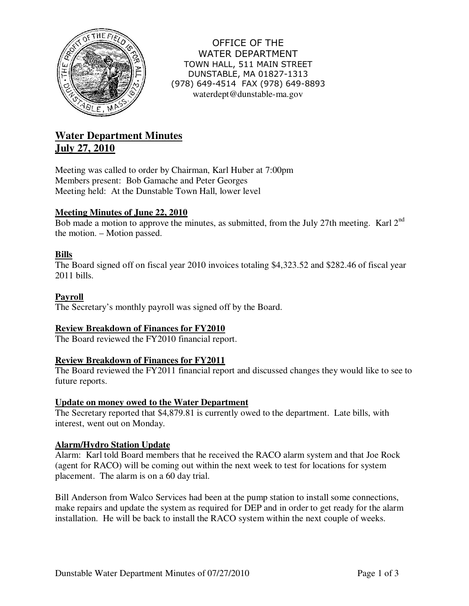

OFFICE OF THE WATER DEPARTMENT TOWN HALL, 511 MAIN STREET DUNSTABLE, MA 01827-1313 (978) 649-4514 FAX (978) 649-8893 waterdept@dunstable-ma.gov

# **Water Department Minutes July 27, 2010**

Meeting was called to order by Chairman, Karl Huber at 7:00pm Members present: Bob Gamache and Peter Georges Meeting held: At the Dunstable Town Hall, lower level

## **Meeting Minutes of June 22, 2010**

Bob made a motion to approve the minutes, as submitted, from the July 27th meeting. Karl 2<sup>nd</sup> the motion. – Motion passed.

## **Bills**

The Board signed off on fiscal year 2010 invoices totaling \$4,323.52 and \$282.46 of fiscal year 2011 bills.

#### **Payroll**

The Secretary's monthly payroll was signed off by the Board.

## **Review Breakdown of Finances for FY2010**

The Board reviewed the FY2010 financial report.

#### **Review Breakdown of Finances for FY2011**

The Board reviewed the FY2011 financial report and discussed changes they would like to see to future reports.

#### **Update on money owed to the Water Department**

The Secretary reported that \$4,879.81 is currently owed to the department. Late bills, with interest, went out on Monday.

## **Alarm/Hydro Station Update**

Alarm: Karl told Board members that he received the RACO alarm system and that Joe Rock (agent for RACO) will be coming out within the next week to test for locations for system placement. The alarm is on a 60 day trial.

Bill Anderson from Walco Services had been at the pump station to install some connections, make repairs and update the system as required for DEP and in order to get ready for the alarm installation. He will be back to install the RACO system within the next couple of weeks.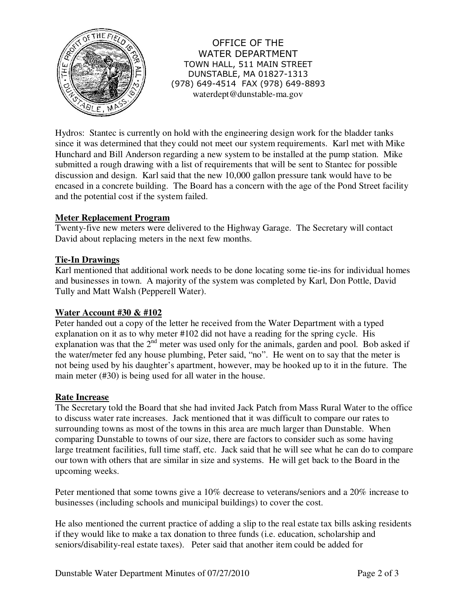

OFFICE OF THE WATER DEPARTMENT TOWN HALL, 511 MAIN STREET DUNSTABLE, MA 01827-1313 (978) 649-4514 FAX (978) 649-8893 waterdept@dunstable-ma.gov

Hydros: Stantec is currently on hold with the engineering design work for the bladder tanks since it was determined that they could not meet our system requirements. Karl met with Mike Hunchard and Bill Anderson regarding a new system to be installed at the pump station. Mike submitted a rough drawing with a list of requirements that will be sent to Stantec for possible discussion and design. Karl said that the new 10,000 gallon pressure tank would have to be encased in a concrete building. The Board has a concern with the age of the Pond Street facility and the potential cost if the system failed.

#### **Meter Replacement Program**

Twenty-five new meters were delivered to the Highway Garage. The Secretary will contact David about replacing meters in the next few months.

#### **Tie-In Drawings**

Karl mentioned that additional work needs to be done locating some tie-ins for individual homes and businesses in town. A majority of the system was completed by Karl, Don Pottle, David Tully and Matt Walsh (Pepperell Water).

#### **Water Account #30 & #102**

Peter handed out a copy of the letter he received from the Water Department with a typed explanation on it as to why meter #102 did not have a reading for the spring cycle. His explanation was that the  $2<sup>nd</sup>$  meter was used only for the animals, garden and pool. Bob asked if the water/meter fed any house plumbing, Peter said, "no". He went on to say that the meter is not being used by his daughter's apartment, however, may be hooked up to it in the future. The main meter (#30) is being used for all water in the house.

#### **Rate Increase**

The Secretary told the Board that she had invited Jack Patch from Mass Rural Water to the office to discuss water rate increases. Jack mentioned that it was difficult to compare our rates to surrounding towns as most of the towns in this area are much larger than Dunstable. When comparing Dunstable to towns of our size, there are factors to consider such as some having large treatment facilities, full time staff, etc. Jack said that he will see what he can do to compare our town with others that are similar in size and systems. He will get back to the Board in the upcoming weeks.

Peter mentioned that some towns give a 10% decrease to veterans/seniors and a 20% increase to businesses (including schools and municipal buildings) to cover the cost.

He also mentioned the current practice of adding a slip to the real estate tax bills asking residents if they would like to make a tax donation to three funds (i.e. education, scholarship and seniors/disability-real estate taxes). Peter said that another item could be added for

Dunstable Water Department Minutes of 07/27/2010 Page 2 of 3